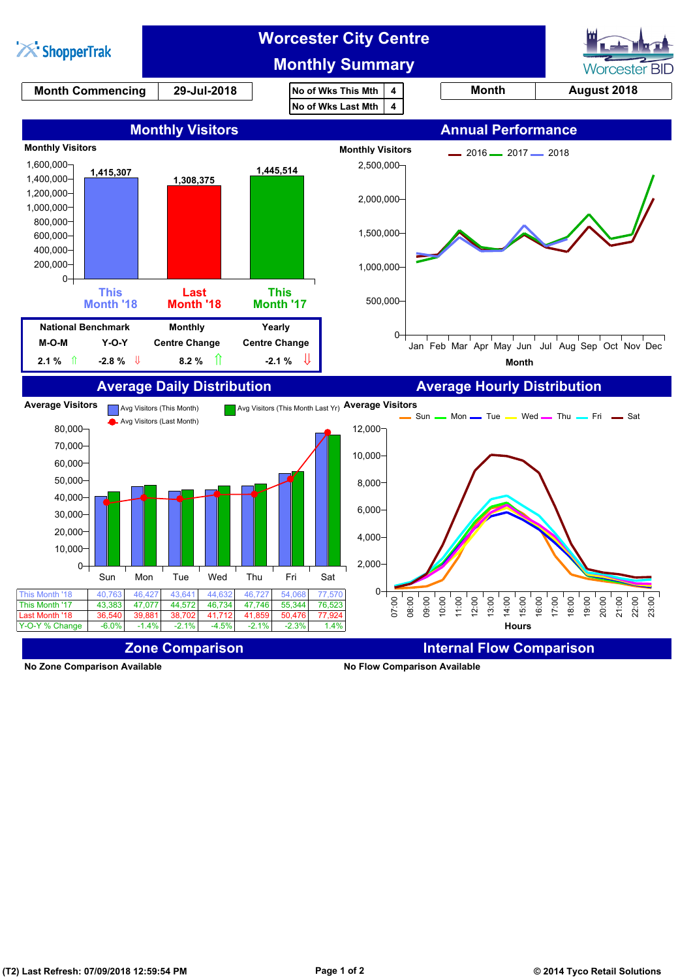

**No Zone Comparison Available No Flow Comparison Available**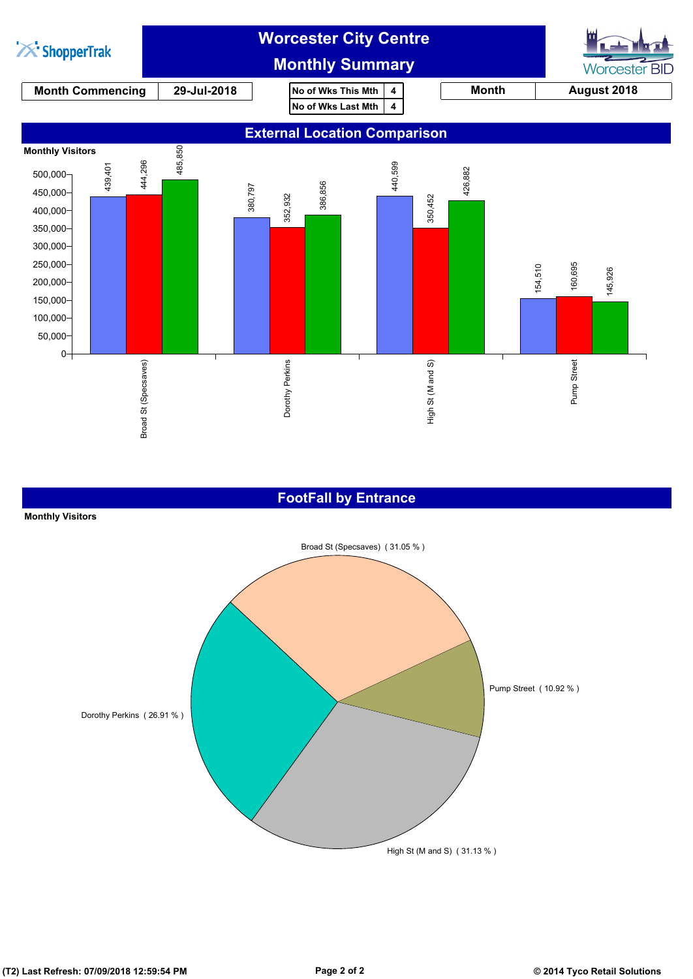

#### **FootFall by Entrance**



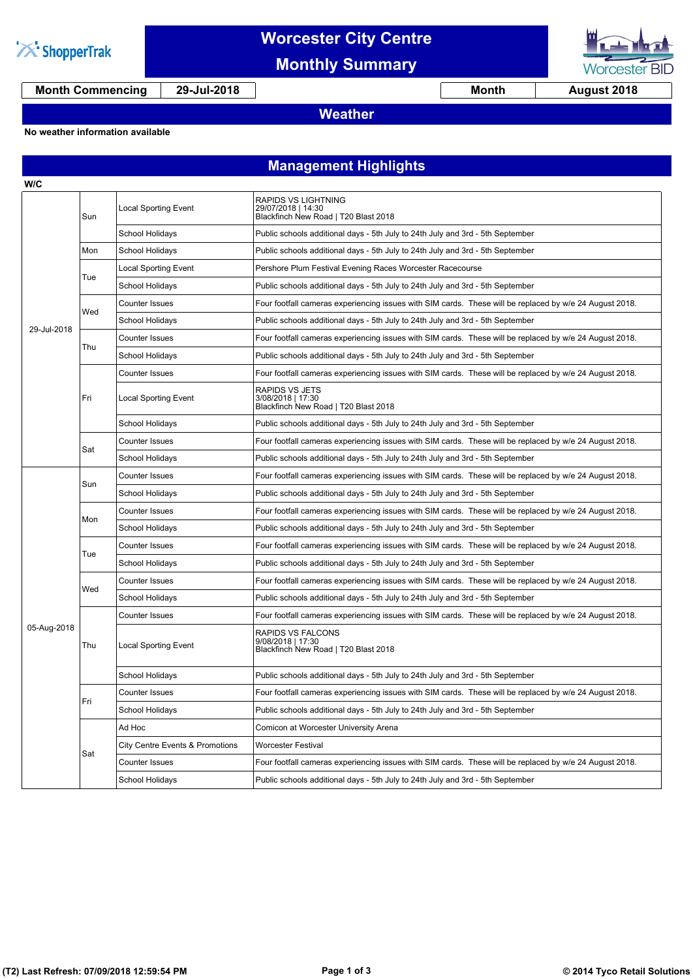

### **Worcester City Centre**

**Monthly Summary**



**Month Commencing 29-Jul-2018 Month 1 August 2018** 

### **Weather**

#### **No weather information available**

### **Management Highlights**

| W/C         |     |                                 |                                                                                                         |  |  |
|-------------|-----|---------------------------------|---------------------------------------------------------------------------------------------------------|--|--|
|             | Sun | <b>Local Sporting Event</b>     | RAPIDS VS LIGHTNING<br>29/07/2018   14:30<br>Blackfinch New Road   T20 Blast 2018                       |  |  |
|             |     | School Holidays                 | Public schools additional days - 5th July to 24th July and 3rd - 5th September                          |  |  |
|             | Mon | School Holidays                 | Public schools additional days - 5th July to 24th July and 3rd - 5th September                          |  |  |
|             | Tue | Local Sporting Event            | Pershore Plum Festival Evening Races Worcester Racecourse                                               |  |  |
|             |     | School Holidays                 | Public schools additional days - 5th July to 24th July and 3rd - 5th September                          |  |  |
|             | Wed | Counter Issues                  | Four footfall cameras experiencing issues with SIM cards. These will be replaced by w/e 24 August 2018. |  |  |
|             |     | School Holidays                 | Public schools additional days - 5th July to 24th July and 3rd - 5th September                          |  |  |
| 29-Jul-2018 | Thu | Counter Issues                  | Four footfall cameras experiencing issues with SIM cards. These will be replaced by w/e 24 August 2018. |  |  |
|             |     | School Holidays                 | Public schools additional days - 5th July to 24th July and 3rd - 5th September                          |  |  |
|             |     | Counter Issues                  | Four footfall cameras experiencing issues with SIM cards. These will be replaced by w/e 24 August 2018. |  |  |
|             | Fri | Local Sporting Event            | <b>RAPIDS VS JETS</b><br>3/08/2018   17:30<br>Blackfinch New Road   T20 Blast 2018                      |  |  |
|             |     | School Holidays                 | Public schools additional days - 5th July to 24th July and 3rd - 5th September                          |  |  |
|             |     | <b>Counter Issues</b>           | Four footfall cameras experiencing issues with SIM cards. These will be replaced by w/e 24 August 2018. |  |  |
|             | Sat | School Holidays                 | Public schools additional days - 5th July to 24th July and 3rd - 5th September                          |  |  |
|             |     | <b>Counter Issues</b>           | Four footfall cameras experiencing issues with SIM cards. These will be replaced by w/e 24 August 2018. |  |  |
|             | Sun | School Holidays                 | Public schools additional days - 5th July to 24th July and 3rd - 5th September                          |  |  |
|             | Mon | <b>Counter Issues</b>           | Four footfall cameras experiencing issues with SIM cards. These will be replaced by w/e 24 August 2018. |  |  |
|             |     | School Holidays                 | Public schools additional days - 5th July to 24th July and 3rd - 5th September                          |  |  |
|             | Tue | <b>Counter Issues</b>           | Four footfall cameras experiencing issues with SIM cards. These will be replaced by w/e 24 August 2018. |  |  |
|             |     | School Holidays                 | Public schools additional days - 5th July to 24th July and 3rd - 5th September                          |  |  |
|             | Wed | <b>Counter Issues</b>           | Four footfall cameras experiencing issues with SIM cards. These will be replaced by w/e 24 August 2018. |  |  |
|             |     | School Holidays                 | Public schools additional days - 5th July to 24th July and 3rd - 5th September                          |  |  |
| 05-Aug-2018 | Thu | <b>Counter Issues</b>           | Four footfall cameras experiencing issues with SIM cards. These will be replaced by w/e 24 August 2018. |  |  |
|             |     | Local Sporting Event            | RAPIDS VS FALCONS<br>9/08/2018   17:30<br>Blackfinch New Road   T20 Blast 2018                          |  |  |
|             |     | School Holidays                 | Public schools additional days - 5th July to 24th July and 3rd - 5th September                          |  |  |
|             | Fп  | Counter Issues                  | Four footfall cameras experiencing issues with SIM cards. These will be replaced by w/e 24 August 2018. |  |  |
|             |     | <b>School Holidays</b>          | Public schools additional days - 5th July to 24th July and 3rd - 5th September                          |  |  |
|             | Sat | Ad Hoc                          | Comicon at Worcester University Arena                                                                   |  |  |
|             |     | City Centre Events & Promotions | Worcester Festival                                                                                      |  |  |
|             |     | Counter Issues                  | Four footfall cameras experiencing issues with SIM cards. These will be replaced by w/e 24 August 2018. |  |  |
|             |     | School Holidays                 | Public schools additional days - 5th July to 24th July and 3rd - 5th September                          |  |  |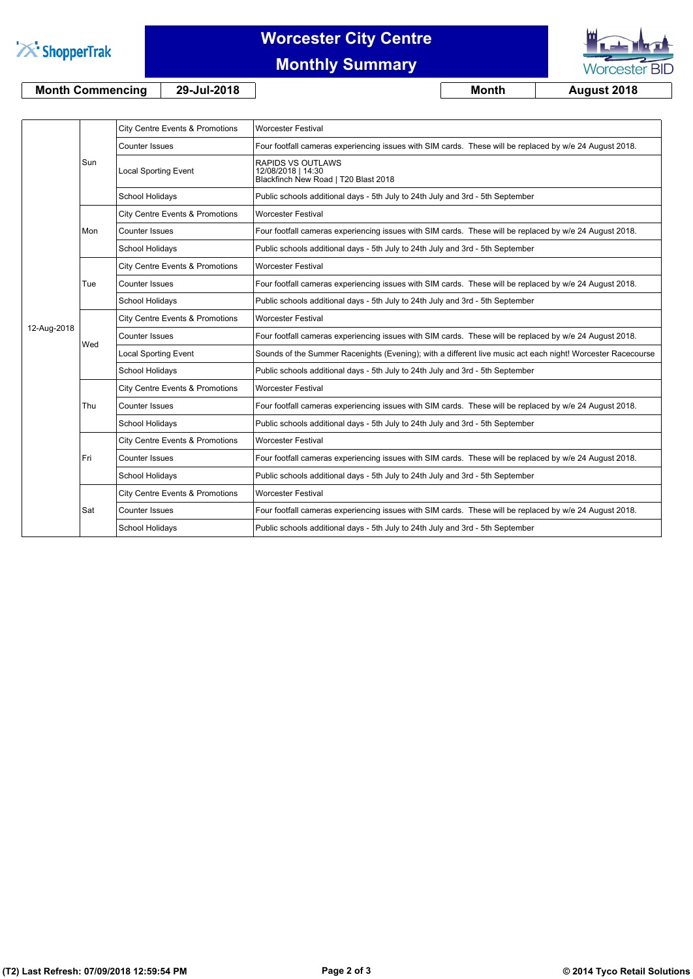

# **Worcester City Centre**

### **Monthly Summary**



**Month Commencing 29-Jul-2018 Month August 2018**

|             | Sun | City Centre Events & Promotions | <b>Worcester Festival</b>                                                                                   |
|-------------|-----|---------------------------------|-------------------------------------------------------------------------------------------------------------|
|             |     | <b>Counter Issues</b>           | Four footfall cameras experiencing issues with SIM cards. These will be replaced by w/e 24 August 2018.     |
|             |     | <b>Local Sporting Event</b>     | <b>RAPIDS VS OUTLAWS</b><br>12/08/2018   14:30<br>Blackfinch New Road   T20 Blast 2018                      |
|             |     | <b>School Holidays</b>          | Public schools additional days - 5th July to 24th July and 3rd - 5th September                              |
|             | Mon | City Centre Events & Promotions | <b>Worcester Festival</b>                                                                                   |
|             |     | <b>Counter Issues</b>           | Four footfall cameras experiencing issues with SIM cards. These will be replaced by w/e 24 August 2018.     |
|             |     | <b>School Holidays</b>          | Public schools additional days - 5th July to 24th July and 3rd - 5th September                              |
|             | Tue | City Centre Events & Promotions | <b>Worcester Festival</b>                                                                                   |
|             |     | Counter Issues                  | Four footfall cameras experiencing issues with SIM cards. These will be replaced by w/e 24 August 2018.     |
|             |     | School Holidays                 | Public schools additional days - 5th July to 24th July and 3rd - 5th September                              |
|             | Wed | City Centre Events & Promotions | <b>Worcester Festival</b>                                                                                   |
| 12-Aug-2018 |     | <b>Counter Issues</b>           | Four footfall cameras experiencing issues with SIM cards. These will be replaced by w/e 24 August 2018.     |
|             |     | <b>Local Sporting Event</b>     | Sounds of the Summer Racenights (Evening); with a different live music act each night! Worcester Racecourse |
|             |     | <b>School Holidays</b>          | Public schools additional days - 5th July to 24th July and 3rd - 5th September                              |
|             | Thu | City Centre Events & Promotions | <b>Worcester Festival</b>                                                                                   |
|             |     | Counter Issues                  | Four footfall cameras experiencing issues with SIM cards. These will be replaced by w/e 24 August 2018.     |
|             |     | School Holidays                 | Public schools additional days - 5th July to 24th July and 3rd - 5th September                              |
|             | Fri | City Centre Events & Promotions | <b>Worcester Festival</b>                                                                                   |
|             |     | <b>Counter Issues</b>           | Four footfall cameras experiencing issues with SIM cards. These will be replaced by w/e 24 August 2018.     |
|             |     | School Holidays                 | Public schools additional days - 5th July to 24th July and 3rd - 5th September                              |
|             | Sat | City Centre Events & Promotions | <b>Worcester Festival</b>                                                                                   |
|             |     | Counter Issues                  | Four footfall cameras experiencing issues with SIM cards. These will be replaced by w/e 24 August 2018.     |
|             |     | School Holidays                 | Public schools additional days - 5th July to 24th July and 3rd - 5th September                              |